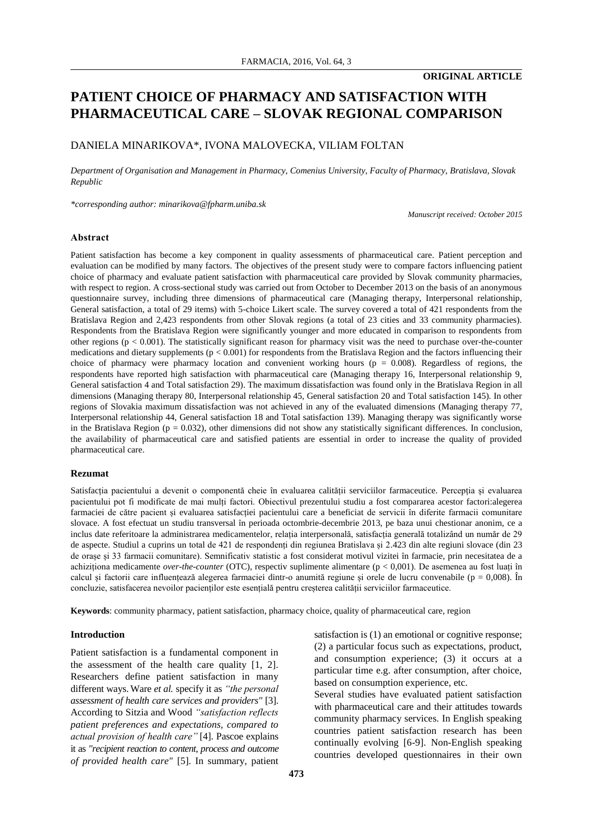## **ORIGINAL ARTICLE**

## **PATIENT CHOICE OF PHARMACY AND SATISFACTION WITH PHARMACEUTICAL CARE – SLOVAK REGIONAL COMPARISON**

## DANIELA MINARIKOVA\*, IVONA MALOVECKA, VILIAM FOLTAN

*Department of Organisation and Management in Pharmacy, Comenius University, Faculty of Pharmacy, Bratislava, Slovak Republic*

*\*corresponding author: minarikova@fpharm.uniba.sk*

*Manuscript received: October 2015*

#### **Abstract**

Patient satisfaction has become a key component in quality assessments of pharmaceutical care. Patient perception and evaluation can be modified by many factors. The objectives of the present study were to compare factors influencing patient choice of pharmacy and evaluate patient satisfaction with pharmaceutical care provided by Slovak community pharmacies, with respect to region. A cross-sectional study was carried out from October to December 2013 on the basis of an anonymous questionnaire survey, including three dimensions of pharmaceutical care (Managing therapy, Interpersonal relationship, General satisfaction, a total of 29 items) with 5-choice Likert scale. The survey covered a total of 421 respondents from the Bratislava Region and 2,423 respondents from other Slovak regions (a total of 23 cities and 33 community pharmacies). Respondents from the Bratislava Region were significantly younger and more educated in comparison to respondents from other regions ( $p < 0.001$ ). The statistically significant reason for pharmacy visit was the need to purchase over-the-counter medications and dietary supplements (p < 0.001) for respondents from the Bratislava Region and the factors influencing their choice of pharmacy were pharmacy location and convenient working hours ( $p = 0.008$ ). Regardless of regions, the respondents have reported high satisfaction with pharmaceutical care (Managing therapy 16, Interpersonal relationship 9, General satisfaction 4 and Total satisfaction 29). The maximum dissatisfaction was found only in the Bratislava Region in all dimensions (Managing therapy 80, Interpersonal relationship 45, General satisfaction 20 and Total satisfaction 145). In other regions of Slovakia maximum dissatisfaction was not achieved in any of the evaluated dimensions (Managing therapy 77, Interpersonal relationship 44, General satisfaction 18 and Total satisfaction 139). Managing therapy was significantly worse in the Bratislava Region ( $p = 0.032$ ), other dimensions did not show any statistically significant differences. In conclusion, the availability of pharmaceutical care and satisfied patients are essential in order to increase the quality of provided pharmaceutical care.

## **Rezumat**

Satisfacția pacientului a devenit o componentă cheie în evaluarea calității serviciilor farmaceutice. Percepția și evaluarea pacientului pot fi modificate de mai mulți factori. Obiectivul prezentului studiu a fost compararea acestor factori:alegerea farmaciei de către pacient și evaluarea satisfacției pacientului care a beneficiat de servicii în diferite farmacii comunitare slovace. A fost efectuat un studiu transversal în perioada octombrie-decembrie 2013, pe baza unui chestionar anonim, ce a inclus date referitoare la administrarea medicamentelor, relația interpersonală, satisfacția generală totalizând un număr de 29 de aspecte. Studiul a cuprins un total de 421 de respondenți din regiunea Bratislava și 2.423 din alte regiuni slovace (din 23 de orașe și 33 farmacii comunitare). Semnificativ statistic a fost considerat motivul vizitei în farmacie, prin necesitatea de a achiziționa medicamente *over-the-counter* (OTC), respectiv suplimente alimentare (p < 0,001). De asemenea au fost luați în calcul și factorii care influențează alegerea farmaciei dintr-o anumită regiune și orele de lucru convenabile ( $p = 0.008$ ). În concluzie, satisfacerea nevoilor pacienților este esențială pentru creșterea calității serviciilor farmaceutice.

**Keywords**: community pharmacy, patient satisfaction, pharmacy choice, quality of pharmaceutical care, region

#### **Introduction**

Patient satisfaction is a fundamental component in the assessment of the health care quality [1, 2]. Researchers define patient satisfaction in many different ways.Ware *et al.* specify it as *"the personal assessment of health care services and providers"* [3]. According to Sitzia and Wood *"satisfaction reflects patient preferences and expectations, compared to actual provision of health care"* [4]. Pascoe explains it as *"recipient reaction to content, process and outcome of provided health care"* [5]. In summary, patient

satisfaction is  $(1)$  an emotional or cognitive response; (2) a particular focus such as expectations, product, and consumption experience; (3) it occurs at a particular time e.g. after consumption, after choice, based on consumption experience, etc.

Several studies have evaluated patient satisfaction with pharmaceutical care and their attitudes towards community pharmacy services. In English speaking countries patient satisfaction research has been continually evolving [6-9]. Non-English speaking countries developed questionnaires in their own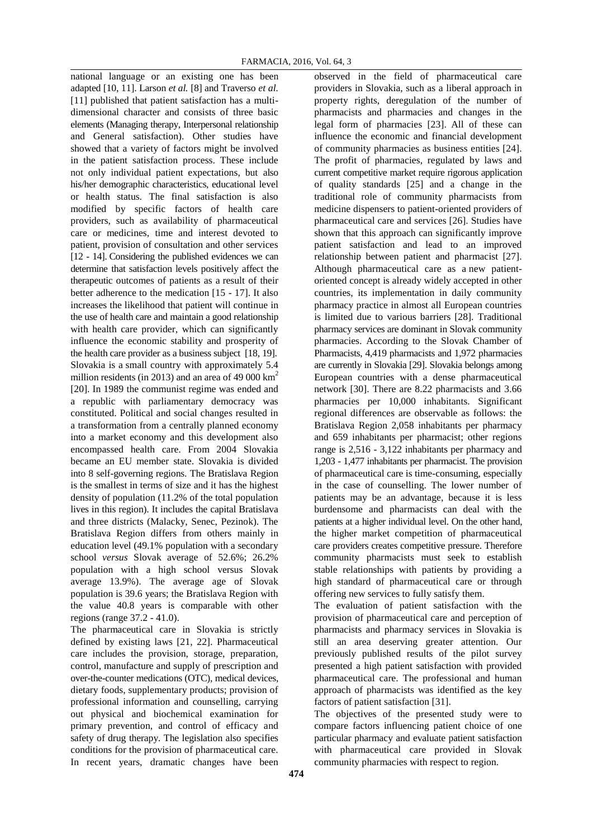national language or an existing one has been adapted [10, 11]. Larson *et al.* [8] and Traverso *et al.* [11] published that patient satisfaction has a multidimensional character and consists of three basic elements (Managing therapy, Interpersonal relationship and General satisfaction). Other studies have showed that a variety of factors might be involved in the patient satisfaction process. These include not only individual patient expectations, but also his/her demographic characteristics, educational level or health status. The final satisfaction is also modified by specific factors of health care providers, such as availability of pharmaceutical care or medicines, time and interest devoted to patient, provision of consultation and other services [12 - 14]. Considering the published evidences we can determine that satisfaction levels positively affect the therapeutic outcomes of patients as a result of their better adherence to the medication [15 - 17]. It also increases the likelihood that patient will continue in the use of health care and maintain a good relationship with health care provider, which can significantly influence the economic stability and prosperity of the health care provider as a business subject [18, 19]. Slovakia is a small country with approximately 5.4 million residents (in 2013) and an area of 49 000  $km^2$ [20]. In 1989 the communist regime was ended and a republic with parliamentary democracy was constituted. Political and social changes resulted in a transformation from a centrally planned economy into a market economy and this development also encompassed health care. From 2004 Slovakia became an EU member state. Slovakia is divided into 8 self-governing regions. The Bratislava Region is the smallest in terms of size and it has the highest density of population (11.2% of the total population lives in this region). It includes the capital Bratislava and three districts (Malacky, Senec, Pezinok). The Bratislava Region differs from others mainly in education level (49.1% population with a secondary school *versus* Slovak average of 52.6%; 26.2% population with a high school versus Slovak average 13.9%). The average age of Slovak population is 39.6 years; the Bratislava Region with the value 40.8 years is comparable with other regions (range 37.2 - 41.0).

The pharmaceutical care in Slovakia is strictly defined by existing laws [21, 22]. Pharmaceutical care includes the provision, storage, preparation, control, manufacture and supply of prescription and over-the-counter medications (OTC), medical devices, dietary foods, supplementary products; provision of professional information and counselling, carrying out physical and biochemical examination for primary prevention, and control of efficacy and safety of drug therapy. The legislation also specifies conditions for the provision of pharmaceutical care. In recent years, dramatic changes have been

observed in the field of pharmaceutical care providers in Slovakia, such as a liberal approach in property rights, deregulation of the number of pharmacists and pharmacies and changes in the legal form of pharmacies [23]. All of these can influence the economic and financial development of community pharmacies as business entities [24]. The profit of pharmacies, regulated by laws and current competitive market require rigorous application of quality standards [25] and a change in the traditional role of community pharmacists from medicine dispensers to patient-oriented providers of pharmaceutical care and services [26]. Studies have shown that this approach can significantly improve patient satisfaction and lead to an improved relationship between patient and pharmacist [27]. Although pharmaceutical care as a new patientoriented concept is already widely accepted in other countries, its implementation in daily community pharmacy practice in almost all European countries is limited due to various barriers [28]. Traditional pharmacy services are dominant in Slovak community pharmacies. According to the Slovak Chamber of Pharmacists, 4,419 pharmacists and 1,972 pharmacies are currently in Slovakia [29]. Slovakia belongs among European countries with a dense pharmaceutical network [30]. There are 8.22 pharmacists and 3.66 pharmacies per 10,000 inhabitants. Significant regional differences are observable as follows: the Bratislava Region 2,058 inhabitants per pharmacy and 659 inhabitants per pharmacist; other regions range is 2,516 - 3,122 inhabitants per pharmacy and 1,203 - 1,477 inhabitants per pharmacist. The provision of pharmaceutical care is time-consuming, especially in the case of counselling. The lower number of patients may be an advantage, because it is less burdensome and pharmacists can deal with the patients at a higher individual level. On the other hand, the higher market competition of pharmaceutical care providers creates competitive pressure. Therefore community pharmacists must seek to establish stable relationships with patients by providing a high standard of pharmaceutical care or through offering new services to fully satisfy them.

The evaluation of patient satisfaction with the provision of pharmaceutical care and perception of pharmacists and pharmacy services in Slovakia is still an area deserving greater attention. Our previously published results of the pilot survey presented a high patient satisfaction with provided pharmaceutical care. The professional and human approach of pharmacists was identified as the key factors of patient satisfaction [31].

The objectives of the presented study were to compare factors influencing patient choice of one particular pharmacy and evaluate patient satisfaction with pharmaceutical care provided in Slovak community pharmacies with respect to region.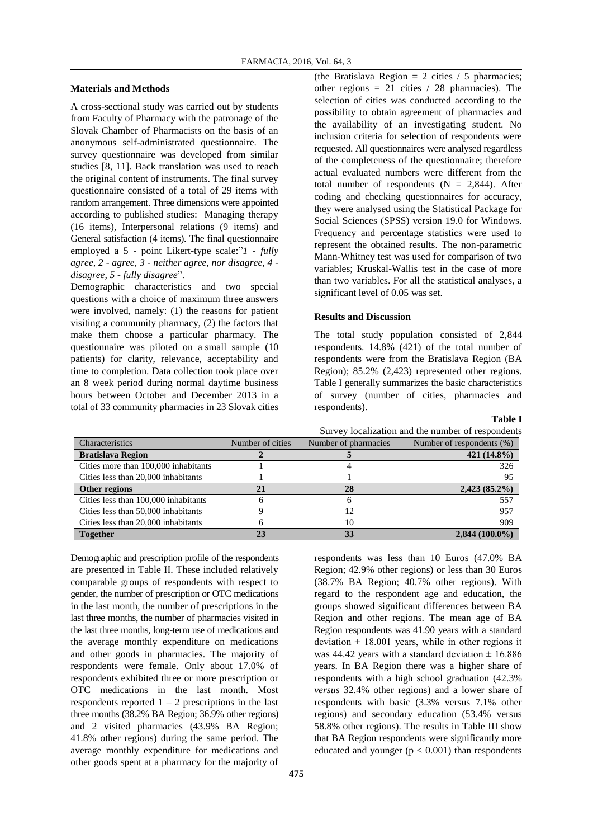#### **Materials and Methods**

A cross-sectional study was carried out by students from Faculty of Pharmacy with the patronage of the Slovak Chamber of Pharmacists on the basis of an anonymous self-administrated questionnaire. The survey questionnaire was developed from similar studies [8, 11]. Back translation was used to reach the original content of instruments. The final survey questionnaire consisted of a total of 29 items with random arrangement. Three dimensions were appointed according to published studies: Managing therapy (16 items), Interpersonal relations (9 items) and General satisfaction (4 items). The final questionnaire employed a 5 - point Likert-type scale:"*1 - fully agree, 2 - agree, 3 - neither agree, nor disagree, 4 disagree, 5 - fully disagree*".

Demographic characteristics and two special questions with a choice of maximum three answers were involved, namely: (1) the reasons for patient visiting a community pharmacy, (2) the factors that make them choose a particular pharmacy. The questionnaire was piloted on a small sample (10 patients) for clarity, relevance, acceptability and time to completion. Data collection took place over an 8 week period during normal daytime business hours between October and December 2013 in a total of 33 community pharmacies in 23 Slovak cities (the Bratislava Region  $= 2$  cities / 5 pharmacies; other regions  $= 21$  cities / 28 pharmacies). The selection of cities was conducted according to the possibility to obtain agreement of pharmacies and the availability of an investigating student. No inclusion criteria for selection of respondents were requested. All questionnaires were analysed regardless of the completeness of the questionnaire; therefore actual evaluated numbers were different from the total number of respondents  $(N = 2,844)$ . After coding and checking questionnaires for accuracy, they were analysed using the Statistical Package for Social Sciences (SPSS) version 19.0 for Windows. Frequency and percentage statistics were used to represent the obtained results. The non-parametric Mann-Whitney test was used for comparison of two variables; Kruskal-Wallis test in the case of more than two variables. For all the statistical analyses, a significant level of 0.05 was set.

#### **Results and Discussion**

The total study population consisted of 2,844 respondents. 14.8% (421) of the total number of respondents were from the Bratislava Region (BA Region); 85.2% (2,423) represented other regions. Table I generally summarizes the basic characteristics of survey (number of cities, pharmacies and respondents).

## **Table I**

| Characteristics                      | Number of cities | Number of pharmacies | Number of respondents (%) |
|--------------------------------------|------------------|----------------------|---------------------------|
| <b>Bratislava Region</b>             |                  |                      | 421 (14.8%)               |
| Cities more than 100,000 inhabitants |                  |                      | 326                       |
| Cities less than 20,000 inhabitants  |                  |                      | 95                        |
| Other regions                        |                  | 28                   | $2,423(85.2\%)$           |
| Cities less than 100,000 inhabitants |                  |                      | 557                       |
| Cities less than 50,000 inhabitants  |                  | 12                   | 957                       |
| Cities less than 20,000 inhabitants  |                  | 10                   | 909                       |
| <b>Together</b>                      |                  | 33                   | $2,844(100.0\%)$          |

Demographic and prescription profile of the respondents are presented in Table II. These included relatively comparable groups of respondents with respect to gender, the number of prescription or OTC medications in the last month, the number of prescriptions in the last three months, the number of pharmacies visited in the last three months, long-term use of medications and the average monthly expenditure on medications and other goods in pharmacies. The majority of respondents were female. Only about 17.0% of respondents exhibited three or more prescription or OTC medications in the last month. Most respondents reported  $1 - 2$  prescriptions in the last three months (38.2% BA Region; 36.9% other regions) and 2 visited pharmacies (43.9% BA Region; 41.8% other regions) during the same period. The average monthly expenditure for medications and other goods spent at a pharmacy for the majority of

respondents was less than 10 Euros (47.0% BA Region; 42.9% other regions) or less than 30 Euros (38.7% BA Region; 40.7% other regions). With regard to the respondent age and education, the groups showed significant differences between BA Region and other regions. The mean age of BA Region respondents was 41.90 years with a standard deviation  $\pm$  18.001 years, while in other regions it was 44.42 years with a standard deviation  $\pm$  16.886 years. In BA Region there was a higher share of respondents with a high school graduation (42.3% *versus* 32.4% other regions) and a lower share of respondents with basic (3.3% versus 7.1% other regions) and secondary education (53.4% versus 58.8% other regions). The results in Table III show that BA Region respondents were significantly more educated and younger  $(p < 0.001)$  than respondents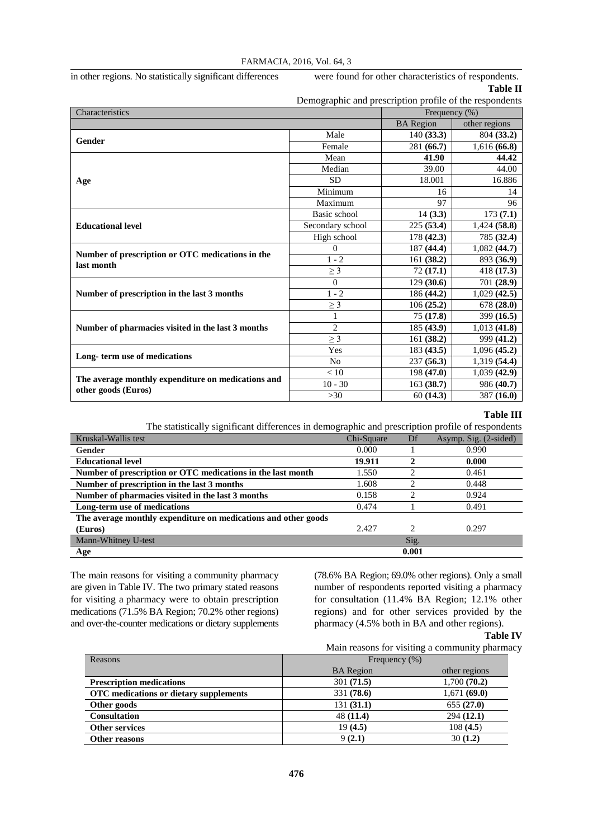in other regions. No statistically significant differences were found for other characteristics of respondents.

| 『able II |
|----------|
|          |

| Demographic and prescription profile of the respondents        |                  |                  |               |  |
|----------------------------------------------------------------|------------------|------------------|---------------|--|
| Characteristics                                                |                  | Frequency (%)    |               |  |
|                                                                |                  | <b>BA</b> Region | other regions |  |
| Gender                                                         | Male             | 140(33.3)        | 804 (33.2)    |  |
|                                                                | Female           | 281 (66.7)       | 1,616(66.8)   |  |
|                                                                | Mean             | 41.90            | 44.42         |  |
|                                                                | Median           | 39.00            | 44.00         |  |
| Age                                                            | <b>SD</b>        | 18.001           | 16.886        |  |
|                                                                | Minimum          | 16               | 14            |  |
|                                                                | Maximum          | 97               | 96            |  |
|                                                                | Basic school     | 14(3.3)          | 173(7.1)      |  |
| <b>Educational level</b>                                       | Secondary school | 225(53.4)        | 1,424(58.8)   |  |
|                                                                | High school      | 178(42.3)        | 785 (32.4)    |  |
|                                                                | $\Omega$         | 187(44.4)        | 1,082(44.7)   |  |
| Number of prescription or OTC medications in the<br>last month | $1 - 2$          | 161(38.2)        | 893 (36.9)    |  |
|                                                                | $\geq$ 3         | 72(17.1)         | 418 (17.3)    |  |
|                                                                | $\Omega$         | 129(30.6)        | 701 (28.9)    |  |
| Number of prescription in the last 3 months                    | $1 - 2$          | 186 (44.2)       | 1,029(42.5)   |  |
|                                                                | $\geq$ 3         | 106(25.2)        | 678 (28.0)    |  |
|                                                                | $\mathbf{1}$     | 75(17.8)         | 399 (16.5)    |  |
| Number of pharmacies visited in the last 3 months              | $\overline{c}$   | 185(43.9)        | 1,013(41.8)   |  |
|                                                                | $\geq$ 3         | 161(38.2)        | 999 (41.2)    |  |
| Long-term use of medications                                   | Yes              | 183(43.5)        | 1,096(45.2)   |  |
|                                                                | N <sub>0</sub>   | 237(56.3)        | 1,319 (54.4)  |  |
|                                                                | < 10             | 198(47.0)        | 1,039(42.9)   |  |
| The average monthly expenditure on medications and             | $10 - 30$        | 163(38.7)        | 986 (40.7)    |  |
| other goods (Euros)                                            | $>30$            | 60(14.3)         | 387(16.0)     |  |

## **Table III**

The statistically significant differences in demographic and prescription profile of respondents

| Kruskal-Wallis test                                            | Chi-Square | Df                          | Asymp. Sig. (2-sided) |
|----------------------------------------------------------------|------------|-----------------------------|-----------------------|
| <b>Gender</b>                                                  | 0.000      |                             | 0.990                 |
| <b>Educational level</b>                                       | 19.911     |                             | 0.000                 |
| Number of prescription or OTC medications in the last month    | 1.550      |                             | 0.461                 |
| Number of prescription in the last 3 months                    | 1.608      | ↑                           | 0.448                 |
| Number of pharmacies visited in the last 3 months              | 0.158      | ◠                           | 0.924                 |
| Long-term use of medications                                   | 0.474      |                             | 0.491                 |
| The average monthly expenditure on medications and other goods |            |                             |                       |
| (Euros)                                                        | 2.427      | $\mathcal{D}_{\mathcal{A}}$ | 0.297                 |
| Mann-Whitney U-test                                            |            | Sig.                        |                       |
| Age                                                            |            | 0.001                       |                       |

The main reasons for visiting a community pharmacy are given in Table IV. The two primary stated reasons for visiting a pharmacy were to obtain prescription medications (71.5% BA Region; 70.2% other regions) and over-the-counter medications or dietary supplements

(78.6% BA Region; 69.0% other regions). Only a small number of respondents reported visiting a pharmacy for consultation (11.4% BA Region; 12.1% other regions) and for other services provided by the pharmacy (4.5% both in BA and other regions).

# **Table IV**

|                                        |                  | Main reasons for visiting a community pharmacy |
|----------------------------------------|------------------|------------------------------------------------|
| Reasons<br>Frequency $(\%)$            |                  |                                                |
|                                        | <b>BA</b> Region | other regions                                  |
| <b>Prescription medications</b>        | 301(71.5)        | 1,700(70.2)                                    |
| OTC medications or dietary supplements | 331(78.6)        | 1,671(69.0)                                    |
| Other goods                            | 131(31.1)        | 655(27.0)                                      |
| <b>Consultation</b>                    | 48(11.4)         | 294(12.1)                                      |
| <b>Other services</b>                  | 19(4.5)          | 108(4.5)                                       |
| Other reasons                          | 9(2.1)           | 30(1.2)                                        |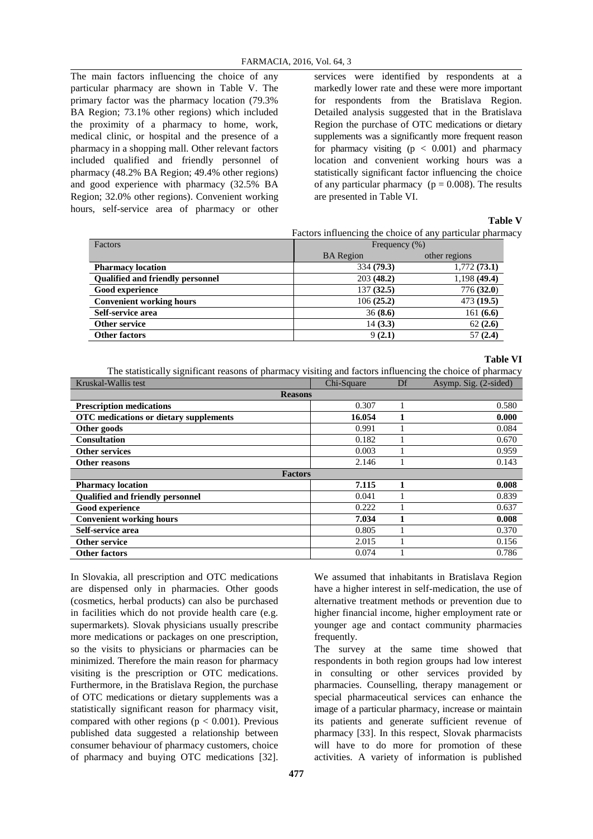The main factors influencing the choice of any particular pharmacy are shown in Table V. The primary factor was the pharmacy location (79.3% BA Region; 73.1% other regions) which included the proximity of a pharmacy to home, work, medical clinic, or hospital and the presence of a pharmacy in a shopping mall. Other relevant factors included qualified and friendly personnel of pharmacy (48.2% BA Region; 49.4% other regions) and good experience with pharmacy (32.5% BA Region; 32.0% other regions). Convenient working hours, self-service area of pharmacy or other

services were identified by respondents at a markedly lower rate and these were more important for respondents from the Bratislava Region. Detailed analysis suggested that in the Bratislava Region the purchase of OTC medications or dietary supplements was a significantly more frequent reason for pharmacy visiting  $(p < 0.001)$  and pharmacy location and convenient working hours was a statistically significant factor influencing the choice of any particular pharmacy ( $p = 0.008$ ). The results are presented in Table VI.

**Table V**

Factors influencing the choice of any particular pharmacy

| <b>BA</b> Region<br>other regions<br>1,772(73.1)<br>334 (79.3)<br><b>Pharmacy location</b><br><b>Qualified and friendly personnel</b><br>1,198 (49.4)<br>203(48.2)<br>776(32.0)<br>137(32.5)<br>Good experience<br>473(19.5)<br>106(25.2)<br><b>Convenient working hours</b><br>Self-service area<br>161(6.6)<br>36(8.6)<br>14(3.3)<br>62(2.6)<br>Other service<br>57(2.4)<br>9(2.1)<br><b>Other factors</b> | Factors | Frequency $(\%)$ |  |  |
|--------------------------------------------------------------------------------------------------------------------------------------------------------------------------------------------------------------------------------------------------------------------------------------------------------------------------------------------------------------------------------------------------------------|---------|------------------|--|--|
|                                                                                                                                                                                                                                                                                                                                                                                                              |         |                  |  |  |
|                                                                                                                                                                                                                                                                                                                                                                                                              |         |                  |  |  |
|                                                                                                                                                                                                                                                                                                                                                                                                              |         |                  |  |  |
|                                                                                                                                                                                                                                                                                                                                                                                                              |         |                  |  |  |
|                                                                                                                                                                                                                                                                                                                                                                                                              |         |                  |  |  |
|                                                                                                                                                                                                                                                                                                                                                                                                              |         |                  |  |  |
|                                                                                                                                                                                                                                                                                                                                                                                                              |         |                  |  |  |
|                                                                                                                                                                                                                                                                                                                                                                                                              |         |                  |  |  |

#### **Table VI**

The statistically significant reasons of pharmacy visiting and factors influencing the choice of pharmacy

| Kruskal-Wallis test                    | Chi-Square | Df | Asymp. Sig. (2-sided) |  |  |  |
|----------------------------------------|------------|----|-----------------------|--|--|--|
| <b>Reasons</b>                         |            |    |                       |  |  |  |
| <b>Prescription medications</b>        | 0.307      |    | 0.580                 |  |  |  |
| OTC medications or dietary supplements | 16.054     |    | 0.000                 |  |  |  |
| Other goods                            | 0.991      |    | 0.084                 |  |  |  |
| <b>Consultation</b>                    | 0.182      |    | 0.670                 |  |  |  |
| <b>Other services</b>                  | 0.003      |    | 0.959                 |  |  |  |
| Other reasons                          | 2.146      |    | 0.143                 |  |  |  |
| <b>Factors</b>                         |            |    |                       |  |  |  |
| <b>Pharmacy location</b>               | 7.115      |    | 0.008                 |  |  |  |
| Qualified and friendly personnel       | 0.041      |    | 0.839                 |  |  |  |
| <b>Good experience</b>                 | 0.222      |    | 0.637                 |  |  |  |
| <b>Convenient working hours</b>        | 7.034      |    | 0.008                 |  |  |  |
| Self-service area                      | 0.805      |    | 0.370                 |  |  |  |
| Other service                          | 2.015      |    | 0.156                 |  |  |  |
| <b>Other factors</b>                   | 0.074      |    | 0.786                 |  |  |  |

In Slovakia, all prescription and OTC medications are dispensed only in pharmacies. Other goods (cosmetics, herbal products) can also be purchased in facilities which do not provide health care (e.g. supermarkets). Slovak physicians usually prescribe more medications or packages on one prescription, so the visits to physicians or pharmacies can be minimized. Therefore the main reason for pharmacy visiting is the prescription or OTC medications. Furthermore, in the Bratislava Region, the purchase of OTC medications or dietary supplements was a statistically significant reason for pharmacy visit, compared with other regions ( $p < 0.001$ ). Previous published data suggested a relationship between consumer behaviour of pharmacy customers, choice of pharmacy and buying OTC medications [32].

We assumed that inhabitants in Bratislava Region have a higher interest in self-medication, the use of alternative treatment methods or prevention due to higher financial income, higher employment rate or younger age and contact community pharmacies frequently.

The survey at the same time showed that respondents in both region groups had low interest in consulting or other services provided by pharmacies. Counselling, therapy management or special pharmaceutical services can enhance the image of a particular pharmacy, increase or maintain its patients and generate sufficient revenue of pharmacy [33]. In this respect, Slovak pharmacists will have to do more for promotion of these activities. A variety of information is published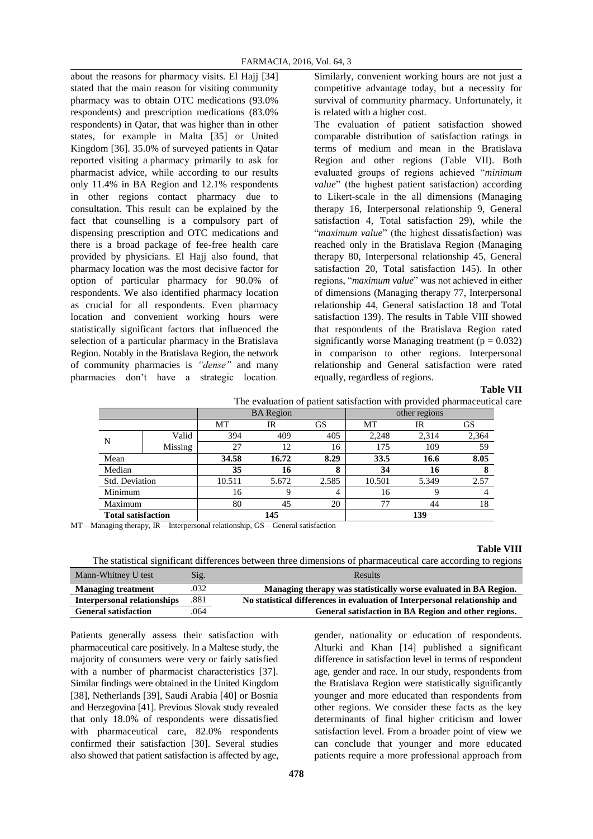about the reasons for pharmacy visits. El Hajj [34] stated that the main reason for visiting community pharmacy was to obtain OTC medications (93.0% respondents) and prescription medications (83.0% respondents) in Qatar, that was higher than in other states, for example in Malta [35] or United Kingdom [36]. 35.0% of surveyed patients in Qatar reported visiting a pharmacy primarily to ask for pharmacist advice, while according to our results only 11.4% in BA Region and 12.1% respondents in other regions contact pharmacy due to consultation. This result can be explained by the fact that counselling is a compulsory part of dispensing prescription and OTC medications and there is a broad package of fee-free health care provided by physicians. El Hajj also found, that pharmacy location was the most decisive factor for option of particular pharmacy for 90.0% of respondents. We also identified pharmacy location as crucial for all respondents. Even pharmacy location and convenient working hours were statistically significant factors that influenced the selection of a particular pharmacy in the Bratislava Region. Notably in the Bratislava Region, the network of community pharmacies is *"dense"* and many pharmacies don't have a strategic location.

Similarly, convenient working hours are not just a competitive advantage today, but a necessity for survival of community pharmacy. Unfortunately, it is related with a higher cost.

The evaluation of patient satisfaction showed comparable distribution of satisfaction ratings in terms of medium and mean in the Bratislava Region and other regions (Table VII). Both evaluated groups of regions achieved "*minimum value*" (the highest patient satisfaction) according to Likert-scale in the all dimensions (Managing therapy 16, Interpersonal relationship 9, General satisfaction 4, Total satisfaction 29), while the "*maximum value*" (the highest dissatisfaction) was reached only in the Bratislava Region (Managing therapy 80, Interpersonal relationship 45, General satisfaction 20, Total satisfaction 145). In other regions, "*maximum value*" was not achieved in either of dimensions (Managing therapy 77, Interpersonal relationship 44, General satisfaction 18 and Total satisfaction 139). The results in Table VIII showed that respondents of the Bratislava Region rated significantly worse Managing treatment ( $p = 0.032$ ) in comparison to other regions. Interpersonal relationship and General satisfaction were rated equally, regardless of regions.

## **Table VII**

|                           | The evaluation of patient satisfaction with provided pharmaceutical care. |        |                  |                |        |               |       |  |
|---------------------------|---------------------------------------------------------------------------|--------|------------------|----------------|--------|---------------|-------|--|
|                           |                                                                           |        | <b>BA</b> Region |                |        | other regions |       |  |
|                           |                                                                           | MT     | IR               | <b>GS</b>      | MT     | IR            | GS    |  |
| N                         | Valid                                                                     | 394    | 409              | 405            | 2,248  | 2.314         | 2,364 |  |
|                           | Missing                                                                   | 27     | 12               | 16             | 175    | 109           | 59    |  |
| Mean                      |                                                                           | 34.58  | 16.72            | 8.29           | 33.5   | 16.6          | 8.05  |  |
| Median                    |                                                                           | 35     | 16               | 8              | 34     | 16            | о     |  |
| Std. Deviation            |                                                                           | 10.511 | 5.672            | 2.585          | 10.501 | 5.349         | 2.57  |  |
| Minimum                   |                                                                           | 16     | Q                | $\overline{4}$ | 16     | Q             |       |  |
| Maximum                   |                                                                           | 80     | 45               | 20             | 77     | 44            | 18    |  |
| <b>Total satisfaction</b> |                                                                           |        | 145              |                |        | 139           |       |  |

MT – Managing therapy, IR – Interpersonal relationship, GS – General satisfaction

#### **Table VIII**

The statistical significant differences between three dimensions of pharmaceutical care according to regions

| Mann-Whitney U test                | $\mathrm{Sig.}$ | <b>Results</b>                                                             |
|------------------------------------|-----------------|----------------------------------------------------------------------------|
| <b>Managing treatment</b>          | .032            | Managing therapy was statistically worse evaluated in BA Region.           |
| <b>Interpersonal relationships</b> | .881            | No statistical differences in evaluation of Interpersonal relationship and |
| <b>General satisfaction</b>        | 064             | General satisfaction in BA Region and other regions.                       |

Patients generally assess their satisfaction with pharmaceutical care positively. In a Maltese study, the majority of consumers were very or fairly satisfied with a number of pharmacist characteristics [37]. Similar findings were obtained in the United Kingdom [38], Netherlands [39], Saudi Arabia [40] or Bosnia and Herzegovina [41]. Previous Slovak study revealed that only 18.0% of respondents were dissatisfied with pharmaceutical care, 82.0% respondents confirmed their satisfaction [30]. Several studies also showed that patient satisfaction is affected by age,

gender, nationality or education of respondents. Alturki and Khan [14] published a significant difference in satisfaction level in terms of respondent age, gender and race. In our study, respondents from the Bratislava Region were statistically significantly younger and more educated than respondents from other regions. We consider these facts as the key determinants of final higher criticism and lower satisfaction level. From a broader point of view we can conclude that younger and more educated patients require a more professional approach from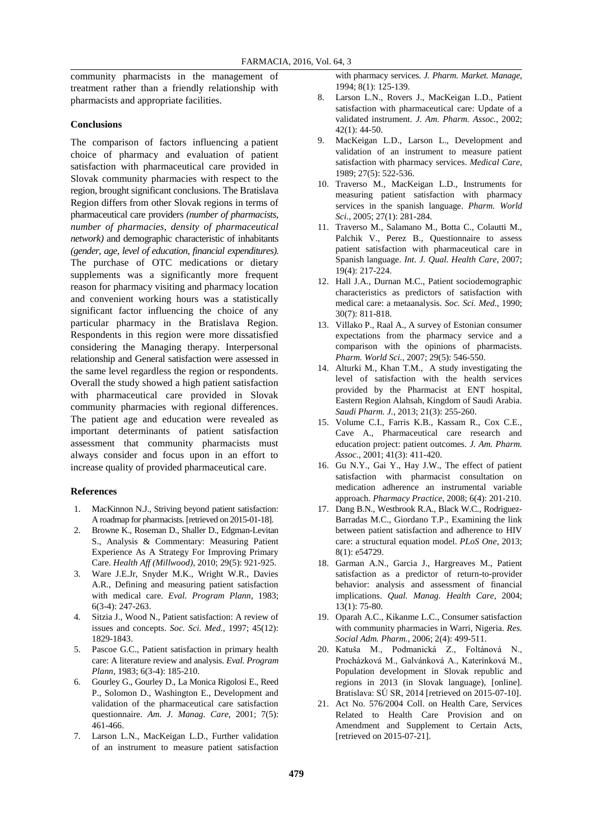community pharmacists in the management of treatment rather than a friendly relationship with pharmacists and appropriate facilities.

## **Conclusions**

The comparison of factors influencing a patient choice of pharmacy and evaluation of patient satisfaction with pharmaceutical care provided in Slovak community pharmacies with respect to the region, brought significant conclusions. The Bratislava Region differs from other Slovak regions in terms of pharmaceutical care providers *(number of pharmacists, number of pharmacies, density of pharmaceutical network)* and demographic characteristic of inhabitants *(gender, age, level of education, financial expenditures)*. The purchase of OTC medications or dietary supplements was a significantly more frequent reason for pharmacy visiting and pharmacy location and convenient working hours was a statistically significant factor influencing the choice of any particular pharmacy in the Bratislava Region. Respondents in this region were more dissatisfied considering the Managing therapy. Interpersonal relationship and General satisfaction were assessed in the same level regardless the region or respondents. Overall the study showed a high patient satisfaction with pharmaceutical care provided in Slovak community pharmacies with regional differences. The patient age and education were revealed as important determinants of patient satisfaction assessment that community pharmacists must always consider and focus upon in an effort to increase quality of provided pharmaceutical care.

#### **References**

- 1. MacKinnon N.J., Striving beyond patient satisfaction: A roadmap for pharmacists. [retrieved on 2015-01-18].
- 2. Browne K., Roseman D., Shaller D., Edgman-Levitan S., Analysis & Commentary: Measuring Patient Experience As A Strategy For Improving Primary Care. *Health Aff (Millwood)*, 2010; 29(5): 921-925.
- 3. Ware J.E.Jr, Snyder M.K., Wright W.R., Davies A.R., Defining and measuring patient satisfaction with medical care. *Eval. Program Plann*, 1983; 6(3-4): 247-263.
- 4. Sitzia J., Wood N., Patient satisfaction: A review of issues and concepts. *Soc. Sci. Med.*, 1997; 45(12): 1829-1843.
- 5. Pascoe G.C., Patient satisfaction in primary health care: A literature review and analysis. *Eval. Program Plann*, 1983; 6(3-4): 185-210.
- 6. Gourley G., Gourley D., La Monica Rigolosi E., Reed P., Solomon D., Washington E., Development and validation of the pharmaceutical care satisfaction questionnaire. *Am. J. Manag. Care*, 2001; 7(5): 461-466.
- 7. Larson L.N., MacKeigan L.D., Further validation of an instrument to measure patient satisfaction

with pharmacy services. *J. Pharm. Market. Manage*, 1994; 8(1): 125-139.

- 8. Larson L.N., Rovers J., MacKeigan L.D., Patient satisfaction with pharmaceutical care: Update of a validated instrument. *J. Am. Pharm. Assoc.*, 2002; 42(1): 44-50.
- 9. MacKeigan L.D., Larson L., Development and validation of an instrument to measure patient satisfaction with pharmacy services. *Medical Care*, 1989; 27(5): 522-536.
- 10. Traverso M., MacKeigan L.D., Instruments for measuring patient satisfaction with pharmacy services in the spanish language. *Pharm. World Sci.*, 2005; 27(1): 281-284.
- 11. Traverso M., Salamano M., Botta C., Colautti M., Palchik V., Perez B., Questionnaire to assess patient satisfaction with pharmaceutical care in Spanish language. *Int. J. Qual. Health Care*, 2007; 19(4): 217-224.
- 12. Hall J.A., Durnan M.C., Patient sociodemographic characteristics as predictors of satisfaction with medical care: a metaanalysis. *Soc. Sci. Med.*, 1990; 30(7): 811-818.
- 13. Villako P., Raal A., A survey of Estonian consumer expectations from the pharmacy service and a comparison with the opinions of pharmacists. *Pharm. World Sci.*, 2007; 29(5): 546-550.
- 14. Alturki M., Khan T.M., A study investigating the level of satisfaction with the health services provided by the Pharmacist at ENT hospital, Eastern Region Alahsah, Kingdom of Saudi Arabia. *Saudi Pharm. J.*, 2013; 21(3): 255-260.
- 15. Volume C.I., Farris K.B., Kassam R., Cox C.E., Cave A., Pharmaceutical care research and education project: patient outcomes. *J. Am. Pharm. Assoc.*, 2001; 41(3): 411-420.
- 16. Gu N.Y., Gai Y., Hay J.W., The effect of patient satisfaction with pharmacist consultation on medication adherence an instrumental variable approach. *Pharmacy Practice*, 2008; 6(4): 201-210.
- 17. Dang B.N., Westbrook R.A., Black W.C., Rodriguez-Barradas M.C., Giordano T.P., Examining the link between patient satisfaction and adherence to HIV care: a structural equation model. *PLoS One*, 2013; 8(1): e54729.
- 18. Garman A.N., Garcia J., Hargreaves M., Patient satisfaction as a predictor of return-to-provider behavior: analysis and assessment of financial implications. *Qual. Manag. Health Care*, 2004; 13(1): 75-80.
- 19. Oparah A.C., Kikanme L.C., Consumer satisfaction with community pharmacies in Warri, Nigeria. *Res. Social Adm. Pharm.*, 2006; 2(4): 499-511.
- 20. Katuša M., Podmanická Z., Foltánová N., Procházková M., Galvánková A., Katerínková M., Population development in Slovak republic and regions in 2013 (in Slovak language), [online]. Bratislava: SÚ SR, 2014 [retrieved on 2015-07-10].
- 21. Act No. 576/2004 Coll. on Health Care, Services Related to Health Care Provision and on Amendment and Supplement to Certain Acts, [retrieved on 2015-07-21].